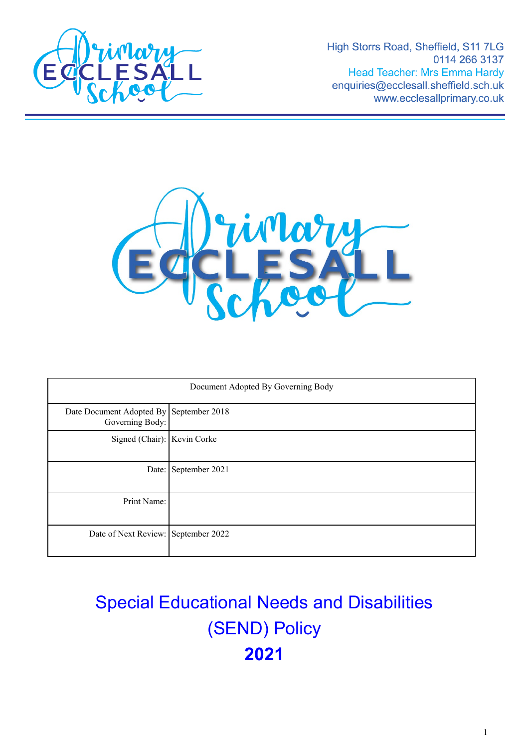

High Storrs Road, Sheffield, S11 7LG 0114 266 3137 **Head Teacher: Mrs Emma Hardy** enquiries@ecclesall.sheffield.sch.uk www.ecclesallprimary.co.uk



| Document Adopted By Governing Body                         |                      |
|------------------------------------------------------------|----------------------|
| Date Document Adopted By September 2018<br>Governing Body: |                      |
| Signed (Chair): Kevin Corke                                |                      |
|                                                            | Date: September 2021 |
| Print Name:                                                |                      |
| Date of Next Review: September 2022                        |                      |

# Special Educational Needs and Disabilities (SEND) Policy **2021**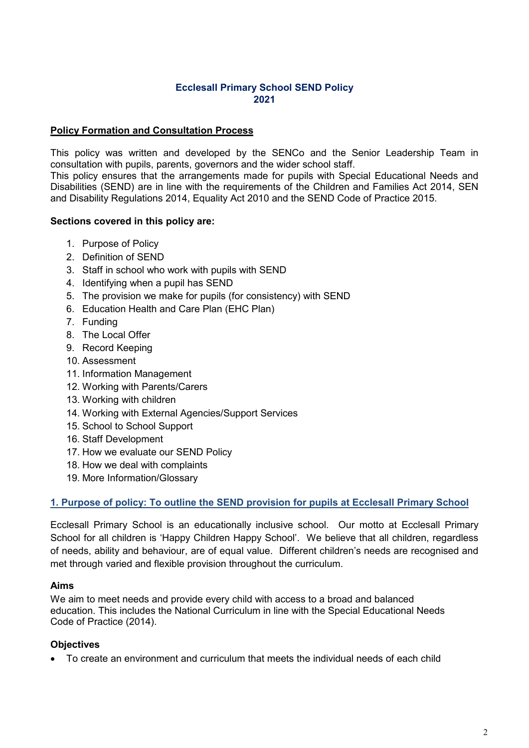## **Ecclesall Primary School SEND Policy 2021**

### **Policy Formation and Consultation Process**

This policy was written and developed by the SENCo and the Senior Leadership Team in consultation with pupils, parents, governors and the wider school staff.

This policy ensures that the arrangements made for pupils with Special Educational Needs and Disabilities (SEND) are in line with the requirements of the Children and Families Act 2014, SEN and Disability Regulations 2014, Equality Act 2010 and the SEND Code of Practice 2015.

### **Sections covered in this policy are:**

- 1. Purpose of Policy
- 2. Definition of SEND
- 3. Staff in school who work with pupils with SEND
- 4. Identifying when a pupil has SEND
- 5. The provision we make for pupils (for consistency) with SEND
- 6. Education Health and Care Plan (EHC Plan)
- 7. Funding
- 8. The Local Offer
- 9. Record Keeping
- 10. Assessment
- 11. Information Management
- 12. Working with Parents/Carers
- 13. Working with children
- 14. Working with External Agencies/Support Services
- 15. School to School Support
- 16. Staff Development
- 17. How we evaluate our SEND Policy
- 18. How we deal with complaints
- 19. More Information/Glossary

# **1. Purpose of policy: To outline the SEND provision for pupils at Ecclesall Primary School**

Ecclesall Primary School is an educationally inclusive school. Our motto at Ecclesall Primary School for all children is 'Happy Children Happy School'. We believe that all children, regardless of needs, ability and behaviour, are of equal value. Different children's needs are recognised and met through varied and flexible provision throughout the curriculum.

#### **Aims**

We aim to meet needs and provide every child with access to a broad and balanced education. This includes the National Curriculum in line with the Special Educational Needs Code of Practice (2014).

# **Objectives**

• To create an environment and curriculum that meets the individual needs of each child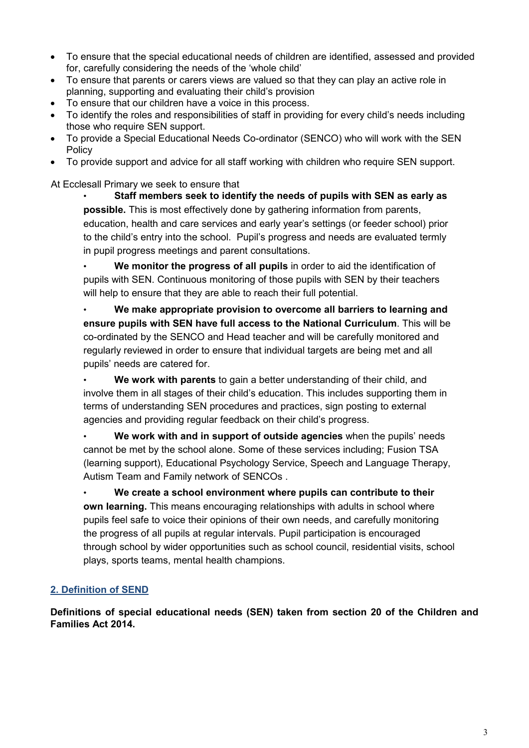- To ensure that the special educational needs of children are identified, assessed and provided for, carefully considering the needs of the 'whole child'
- To ensure that parents or carers views are valued so that they can play an active role in planning, supporting and evaluating their child's provision
- To ensure that our children have a voice in this process.
- To identify the roles and responsibilities of staff in providing for every child's needs including those who require SEN support.
- To provide a Special Educational Needs Co-ordinator (SENCO) who will work with the SEN **Policy**
- To provide support and advice for all staff working with children who require SEN support.

At Ecclesall Primary we seek to ensure that

• **Staff members seek to identify the needs of pupils with SEN as early as possible.** This is most effectively done by gathering information from parents, education, health and care services and early year's settings (or feeder school) prior to the child's entry into the school. Pupil's progress and needs are evaluated termly in pupil progress meetings and parent consultations.

• **We monitor the progress of all pupils** in order to aid the identification of pupils with SEN. Continuous monitoring of those pupils with SEN by their teachers will help to ensure that they are able to reach their full potential.

• **We make appropriate provision to overcome all barriers to learning and ensure pupils with SEN have full access to the National Curriculum**. This will be co-ordinated by the SENCO and Head teacher and will be carefully monitored and regularly reviewed in order to ensure that individual targets are being met and all pupils' needs are catered for.

• **We work with parents** to gain a better understanding of their child, and involve them in all stages of their child's education. This includes supporting them in terms of understanding SEN procedures and practices, sign posting to external agencies and providing regular feedback on their child's progress.

• **We work with and in support of outside agencies** when the pupils' needs cannot be met by the school alone. Some of these services including; Fusion TSA (learning support), Educational Psychology Service, Speech and Language Therapy, Autism Team and Family network of SENCOs .

• **We create a school environment where pupils can contribute to their own learning.** This means encouraging relationships with adults in school where pupils feel safe to voice their opinions of their own needs, and carefully monitoring the progress of all pupils at regular intervals. Pupil participation is encouraged through school by wider opportunities such as school council, residential visits, school plays, sports teams, mental health champions.

# **2. Definition of SEND**

**Definitions of special educational needs (SEN) taken from section 20 of the Children and Families Act 2014.**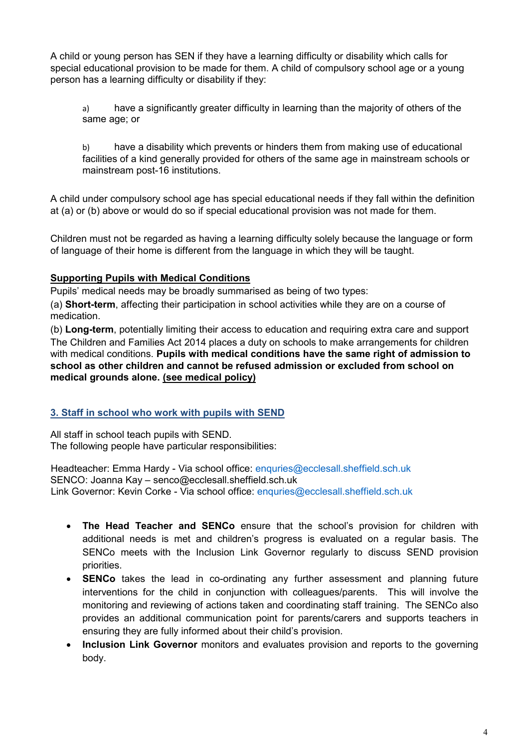A child or young person has SEN if they have a learning difficulty or disability which calls for special educational provision to be made for them. A child of compulsory school age or a young person has a learning difficulty or disability if they:

a) have a significantly greater difficulty in learning than the majority of others of the same age; or

b) have a disability which prevents or hinders them from making use of educational facilities of a kind generally provided for others of the same age in mainstream schools or mainstream post-16 institutions.

A child under compulsory school age has special educational needs if they fall within the definition at (a) or (b) above or would do so if special educational provision was not made for them.

Children must not be regarded as having a learning difficulty solely because the language or form of language of their home is different from the language in which they will be taught.

# **Supporting Pupils with Medical Conditions**

Pupils' medical needs may be broadly summarised as being of two types:

(a) **Short-term**, affecting their participation in school activities while they are on a course of medication.

(b) **Long-term**, potentially limiting their access to education and requiring extra care and support The Children and Families Act 2014 places a duty on schools to make arrangements for children with medical conditions. **Pupils with medical conditions have the same right of admission to school as other children and cannot be refused admission or excluded from school on medical grounds alone. (see medical policy)**

# **3. Staff in school who work with pupils with SEND**

All staff in school teach pupils with SEND. The following people have particular responsibilities:

Headteacher: Emma Hardy - Via school office: [enquries@ecclesall.sheffield.sch.uk](mailto:enquries@ecclesall.sheffield.sch.uk) SENCO: Joanna Kay – senco@ecclesall.sheffield.sch.uk Link Governor: Kevin Corke - Via school office: [enquries@ecclesall.sheffield.sch.uk](mailto:enquries@ecclesall.sheffield.sch.uk)

- **The Head Teacher and SENCo** ensure that the school's provision for children with additional needs is met and children's progress is evaluated on a regular basis. The SENCo meets with the Inclusion Link Governor regularly to discuss SEND provision priorities.
- **SENCo** takes the lead in co-ordinating any further assessment and planning future interventions for the child in conjunction with colleagues/parents. This will involve the monitoring and reviewing of actions taken and coordinating staff training. The SENCo also provides an additional communication point for parents/carers and supports teachers in ensuring they are fully informed about their child's provision.
- **Inclusion Link Governor** monitors and evaluates provision and reports to the governing body.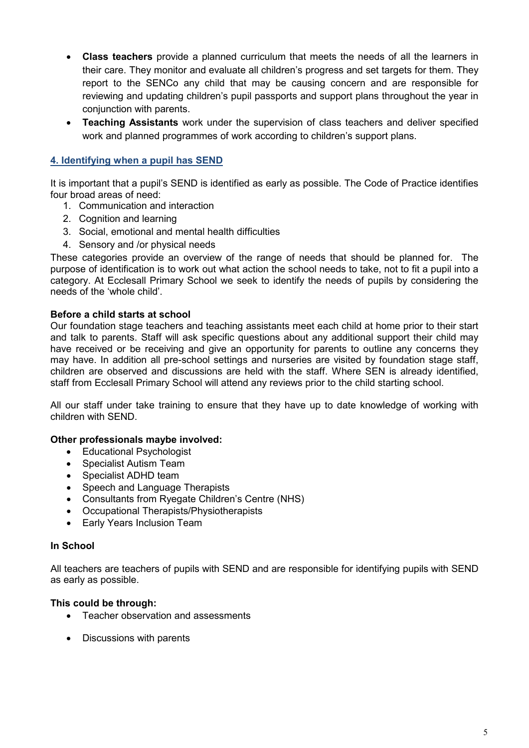- **Class teachers** provide a planned curriculum that meets the needs of all the learners in their care. They monitor and evaluate all children's progress and set targets for them. They report to the SENCo any child that may be causing concern and are responsible for reviewing and updating children's pupil passports and support plans throughout the year in conjunction with parents.
- **Teaching Assistants** work under the supervision of class teachers and deliver specified work and planned programmes of work according to children's support plans.

# **4. Identifying when a pupil has SEND**

It is important that a pupil's SEND is identified as early as possible. The Code of Practice identifies four broad areas of need:

- 1. Communication and interaction
- 2. Cognition and learning
- 3. Social, emotional and mental health difficulties
- 4. Sensory and /or physical needs

These categories provide an overview of the range of needs that should be planned for. The purpose of identification is to work out what action the school needs to take, not to fit a pupil into a category. At Ecclesall Primary School we seek to identify the needs of pupils by considering the needs of the 'whole child'.

### **Before a child starts at school**

Our foundation stage teachers and teaching assistants meet each child at home prior to their start and talk to parents. Staff will ask specific questions about any additional support their child may have received or be receiving and give an opportunity for parents to outline any concerns they may have. In addition all pre-school settings and nurseries are visited by foundation stage staff, children are observed and discussions are held with the staff. Where SEN is already identified, staff from Ecclesall Primary School will attend any reviews prior to the child starting school.

All our staff under take training to ensure that they have up to date knowledge of working with children with SEND.

#### **Other professionals maybe involved:**

- Educational Psychologist
- Specialist Autism Team
- Specialist ADHD team
- Speech and Language Therapists
- Consultants from Ryegate Children's Centre (NHS)
- Occupational Therapists/Physiotherapists
- Early Years Inclusion Team

#### **In School**

All teachers are teachers of pupils with SEND and are responsible for identifying pupils with SEND as early as possible.

#### **This could be through:**

- Teacher observation and assessments
- Discussions with parents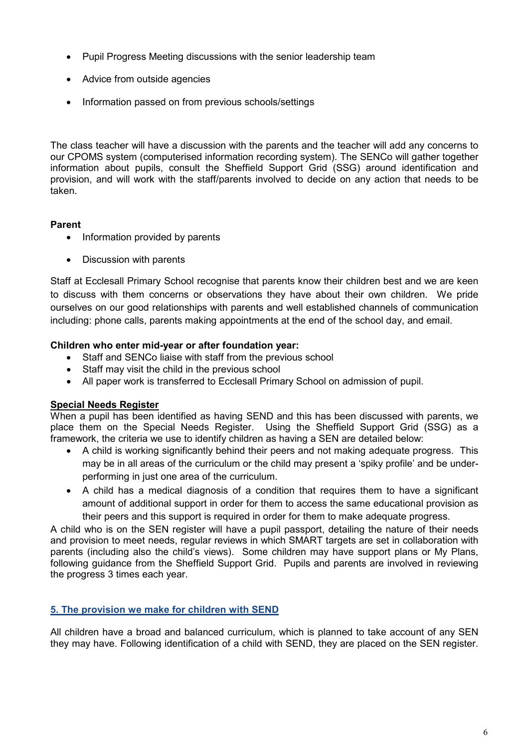- Pupil Progress Meeting discussions with the senior leadership team
- Advice from outside agencies
- Information passed on from previous schools/settings

The class teacher will have a discussion with the parents and the teacher will add any concerns to our CPOMS system (computerised information recording system). The SENCo will gather together information about pupils, consult the Sheffield Support Grid (SSG) around identification and provision, and will work with the staff/parents involved to decide on any action that needs to be taken.

### **Parent**

- Information provided by parents
- Discussion with parents

Staff at Ecclesall Primary School recognise that parents know their children best and we are keen to discuss with them concerns or observations they have about their own children. We pride ourselves on our good relationships with parents and well established channels of communication including: phone calls, parents making appointments at the end of the school day, and email.

### **Children who enter mid-year or after foundation year:**

- Staff and SENCo liaise with staff from the previous school
- Staff may visit the child in the previous school
- All paper work is transferred to Ecclesall Primary School on admission of pupil.

# **Special Needs Register**

When a pupil has been identified as having SEND and this has been discussed with parents, we place them on the Special Needs Register. Using the Sheffield Support Grid (SSG) as a framework, the criteria we use to identify children as having a SEN are detailed below:

- A child is working significantly behind their peers and not making adequate progress. This may be in all areas of the curriculum or the child may present a 'spiky profile' and be underperforming in just one area of the curriculum.
- A child has a medical diagnosis of a condition that requires them to have a significant amount of additional support in order for them to access the same educational provision as their peers and this support is required in order for them to make adequate progress.

A child who is on the SEN register will have a pupil passport, detailing the nature of their needs and provision to meet needs, regular reviews in which SMART targets are set in collaboration with parents (including also the child's views). Some children may have support plans or My Plans, following guidance from the Sheffield Support Grid. Pupils and parents are involved in reviewing the progress 3 times each year.

# **5. The provision we make for children with SEND**

All children have a broad and balanced curriculum, which is planned to take account of any SEN they may have. Following identification of a child with SEND, they are placed on the SEN register.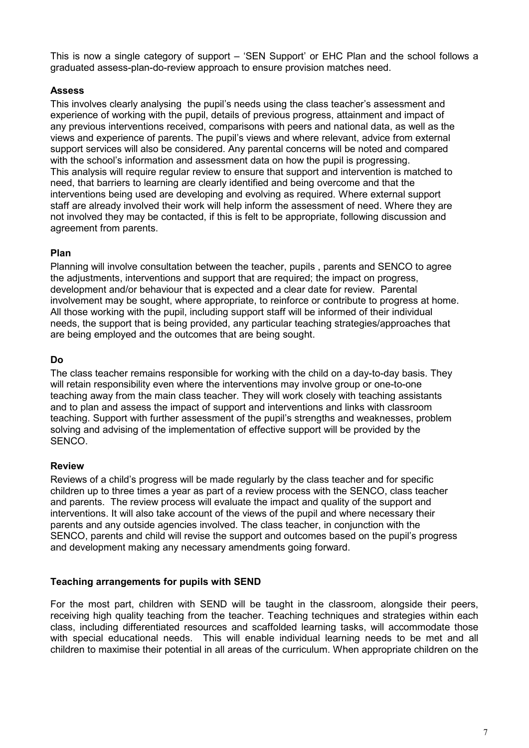This is now a single category of support – 'SEN Support' or EHC Plan and the school follows a graduated assess-plan-do-review approach to ensure provision matches need.

## **Assess**

This involves clearly analysing the pupil's needs using the class teacher's assessment and experience of working with the pupil, details of previous progress, attainment and impact of any previous interventions received, comparisons with peers and national data, as well as the views and experience of parents. The pupil's views and where relevant, advice from external support services will also be considered. Any parental concerns will be noted and compared with the school's information and assessment data on how the pupil is progressing. This analysis will require regular review to ensure that support and intervention is matched to need, that barriers to learning are clearly identified and being overcome and that the interventions being used are developing and evolving as required. Where external support staff are already involved their work will help inform the assessment of need. Where they are not involved they may be contacted, if this is felt to be appropriate, following discussion and agreement from parents.

### **Plan**

Planning will involve consultation between the teacher, pupils , parents and SENCO to agree the adjustments, interventions and support that are required; the impact on progress, development and/or behaviour that is expected and a clear date for review. Parental involvement may be sought, where appropriate, to reinforce or contribute to progress at home. All those working with the pupil, including support staff will be informed of their individual needs, the support that is being provided, any particular teaching strategies/approaches that are being employed and the outcomes that are being sought.

### **Do**

The class teacher remains responsible for working with the child on a day-to-day basis. They will retain responsibility even where the interventions may involve group or one-to-one teaching away from the main class teacher. They will work closely with teaching assistants and to plan and assess the impact of support and interventions and links with classroom teaching. Support with further assessment of the pupil's strengths and weaknesses, problem solving and advising of the implementation of effective support will be provided by the SENCO.

# **Review**

Reviews of a child's progress will be made regularly by the class teacher and for specific children up to three times a year as part of a review process with the SENCO, class teacher and parents. The review process will evaluate the impact and quality of the support and interventions. It will also take account of the views of the pupil and where necessary their parents and any outside agencies involved. The class teacher, in conjunction with the SENCO, parents and child will revise the support and outcomes based on the pupil's progress and development making any necessary amendments going forward.

# **Teaching arrangements for pupils with SEND**

For the most part, children with SEND will be taught in the classroom, alongside their peers, receiving high quality teaching from the teacher. Teaching techniques and strategies within each class, including differentiated resources and scaffolded learning tasks, will accommodate those with special educational needs. This will enable individual learning needs to be met and all children to maximise their potential in all areas of the curriculum. When appropriate children on the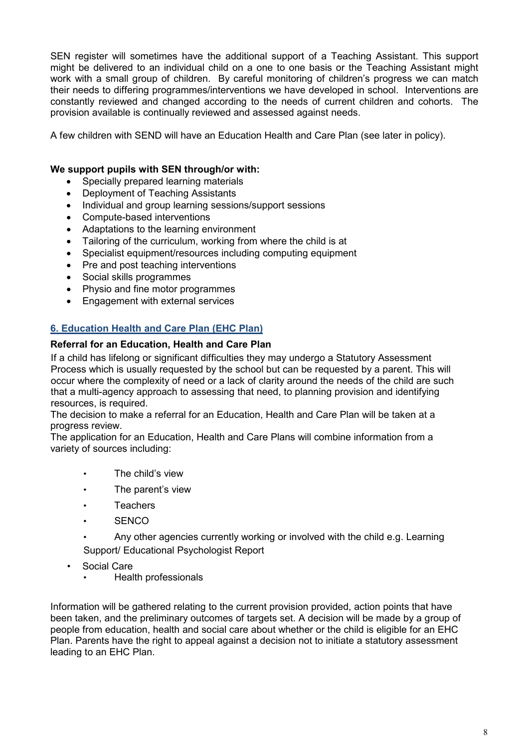SEN register will sometimes have the additional support of a Teaching Assistant. This support might be delivered to an individual child on a one to one basis or the Teaching Assistant might work with a small group of children. By careful monitoring of children's progress we can match their needs to differing programmes/interventions we have developed in school. Interventions are constantly reviewed and changed according to the needs of current children and cohorts. The provision available is continually reviewed and assessed against needs.

A few children with SEND will have an Education Health and Care Plan (see later in policy).

### **We support pupils with SEN through/or with:**

- Specially prepared learning materials
- Deployment of Teaching Assistants
- Individual and group learning sessions/support sessions
- Compute-based interventions
- Adaptations to the learning environment
- Tailoring of the curriculum, working from where the child is at
- Specialist equipment/resources including computing equipment
- Pre and post teaching interventions
- Social skills programmes
- Physio and fine motor programmes
- Engagement with external services

# **6. Education Health and Care Plan (EHC Plan)**

#### **Referral for an Education, Health and Care Plan**

If a child has lifelong or significant difficulties they may undergo a Statutory Assessment Process which is usually requested by the school but can be requested by a parent. This will occur where the complexity of need or a lack of clarity around the needs of the child are such that a multi-agency approach to assessing that need, to planning provision and identifying resources, is required.

The decision to make a referral for an Education, Health and Care Plan will be taken at a progress review.

The application for an Education, Health and Care Plans will combine information from a variety of sources including:

- The child's view
- The parent's view
- Teachers
- **SENCO**
- Any other agencies currently working or involved with the child e.g. Learning Support/ Educational Psychologist Report
- Social Care
	- Health professionals

Information will be gathered relating to the current provision provided, action points that have been taken, and the preliminary outcomes of targets set. A decision will be made by a group of people from education, health and social care about whether or the child is eligible for an EHC Plan. Parents have the right to appeal against a decision not to initiate a statutory assessment leading to an EHC Plan.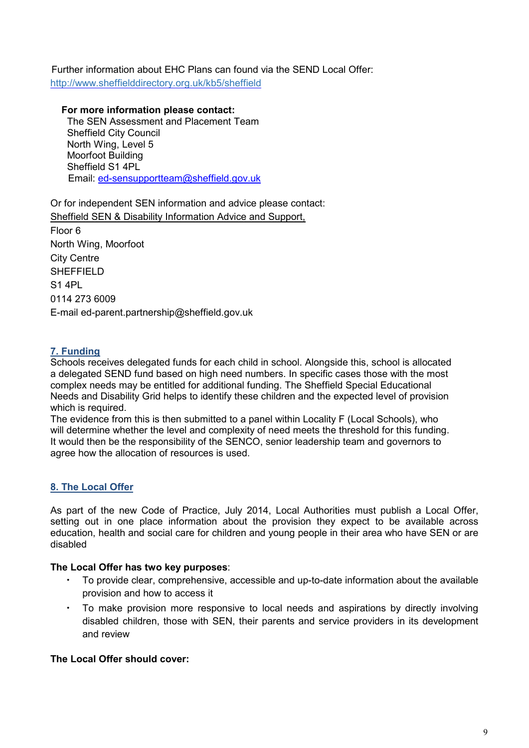Further information about EHC Plans can found via the SEND Local Offer: http://www.sheffielddirectory.org.uk/kb5/sheffield

 **For more information please contact:** The SEN Assessment and Placement Team Sheffield City Council North Wing, Level 5 Moorfoot Building Sheffield S1 4PL Email: [ed-sensupportteam@sheffield.gov.uk](mailto:ed-sensupportteam@sheffield.gov.uk)

Or for independent SEN information and advice please contact: Sheffield SEN & Disability Information Advice and Support, Floor 6 North Wing, Moorfoot City Centre **SHEFFIELD** S1 4PL 0114 273 6009 E-mail ed-parent.partnership@sheffield.gov.uk

# **7. Funding**

Schools receives delegated funds for each child in school. Alongside this, school is allocated a delegated SEND fund based on high need numbers. In specific cases those with the most complex needs may be entitled for additional funding. The Sheffield Special Educational Needs and Disability Grid helps to identify these children and the expected level of provision which is required.

The evidence from this is then submitted to a panel within Locality F (Local Schools), who will determine whether the level and complexity of need meets the threshold for this funding. It would then be the responsibility of the SENCO, senior leadership team and governors to agree how the allocation of resources is used.

# **8. The Local Offer**

As part of the new Code of Practice, July 2014, Local Authorities must publish a Local Offer, setting out in one place information about the provision they expect to be available across education, health and social care for children and young people in their area who have SEN or are disabled

# **The Local Offer has two key purposes**:

- To provide clear, comprehensive, accessible and up-to-date information about the available provision and how to access it
- To make provision more responsive to local needs and aspirations by directly involving disabled children, those with SEN, their parents and service providers in its development and review

# **The Local Offer should cover:**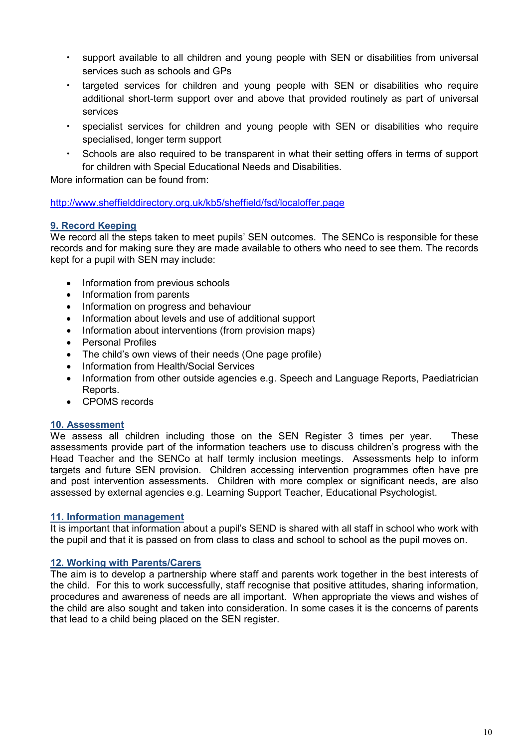- support available to all children and young people with SEN or disabilities from universal services such as schools and GPs
- targeted services for children and young people with SEN or disabilities who require additional short-term support over and above that provided routinely as part of universal services
- specialist services for children and young people with SEN or disabilities who require specialised, longer term support
- Schools are also required to be transparent in what their setting offers in terms of support for children with Special Educational Needs and Disabilities.

More information can be found from:

<http://www.sheffielddirectory.org.uk/kb5/sheffield/fsd/localoffer.page>

# **9. Record Keeping**

We record all the steps taken to meet pupils' SEN outcomes. The SENCo is responsible for these records and for making sure they are made available to others who need to see them. The records kept for a pupil with SEN may include:

- Information from previous schools
- Information from parents
- Information on progress and behaviour
- Information about levels and use of additional support
- Information about interventions (from provision maps)
- Personal Profiles
- The child's own views of their needs (One page profile)
- Information from Health/Social Services
- Information from other outside agencies e.g. Speech and Language Reports, Paediatrician Reports.
- CPOMS records

#### **10. Assessment**

We assess all children including those on the SEN Register 3 times per year. These assessments provide part of the information teachers use to discuss children's progress with the Head Teacher and the SENCo at half termly inclusion meetings. Assessments help to inform targets and future SEN provision. Children accessing intervention programmes often have pre and post intervention assessments. Children with more complex or significant needs, are also assessed by external agencies e.g. Learning Support Teacher, Educational Psychologist.

#### **11. Information management**

It is important that information about a pupil's SEND is shared with all staff in school who work with the pupil and that it is passed on from class to class and school to school as the pupil moves on.

#### **12. Working with Parents/Carers**

The aim is to develop a partnership where staff and parents work together in the best interests of the child. For this to work successfully, staff recognise that positive attitudes, sharing information, procedures and awareness of needs are all important. When appropriate the views and wishes of the child are also sought and taken into consideration. In some cases it is the concerns of parents that lead to a child being placed on the SEN register.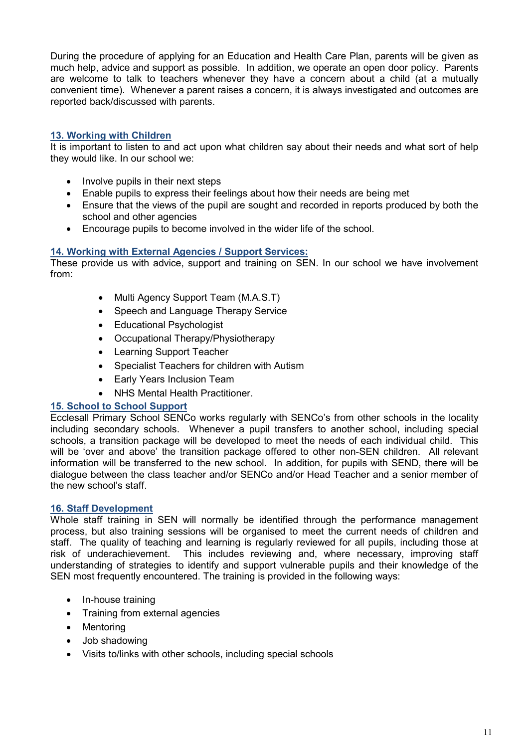During the procedure of applying for an Education and Health Care Plan, parents will be given as much help, advice and support as possible. In addition, we operate an open door policy. Parents are welcome to talk to teachers whenever they have a concern about a child (at a mutually convenient time). Whenever a parent raises a concern, it is always investigated and outcomes are reported back/discussed with parents.

# **13. Working with Children**

It is important to listen to and act upon what children say about their needs and what sort of help they would like. In our school we:

- Involve pupils in their next steps
- Enable pupils to express their feelings about how their needs are being met
- Ensure that the views of the pupil are sought and recorded in reports produced by both the school and other agencies
- Encourage pupils to become involved in the wider life of the school.

#### **14. Working with External Agencies / Support Services:**

These provide us with advice, support and training on SEN. In our school we have involvement from:

- Multi Agency Support Team (M.A.S.T)
- Speech and Language Therapy Service
- Educational Psychologist
- Occupational Therapy/Physiotherapy
- Learning Support Teacher
- Specialist Teachers for children with Autism
- Early Years Inclusion Team
- NHS Mental Health Practitioner.

#### **15. School to School Support**

Ecclesall Primary School SENCo works regularly with SENCo's from other schools in the locality including secondary schools. Whenever a pupil transfers to another school, including special schools, a transition package will be developed to meet the needs of each individual child. This will be 'over and above' the transition package offered to other non-SEN children. All relevant information will be transferred to the new school. In addition, for pupils with SEND, there will be dialogue between the class teacher and/or SENCo and/or Head Teacher and a senior member of the new school's staff.

#### **16. Staff Development**

Whole staff training in SEN will normally be identified through the performance management process, but also training sessions will be organised to meet the current needs of children and staff. The quality of teaching and learning is regularly reviewed for all pupils, including those at risk of underachievement. This includes reviewing and, where necessary, improving staff This includes reviewing and, where necessary, improving staff understanding of strategies to identify and support vulnerable pupils and their knowledge of the SEN most frequently encountered. The training is provided in the following ways:

- In-house training
- Training from external agencies
- Mentoring
- Job shadowing
- Visits to/links with other schools, including special schools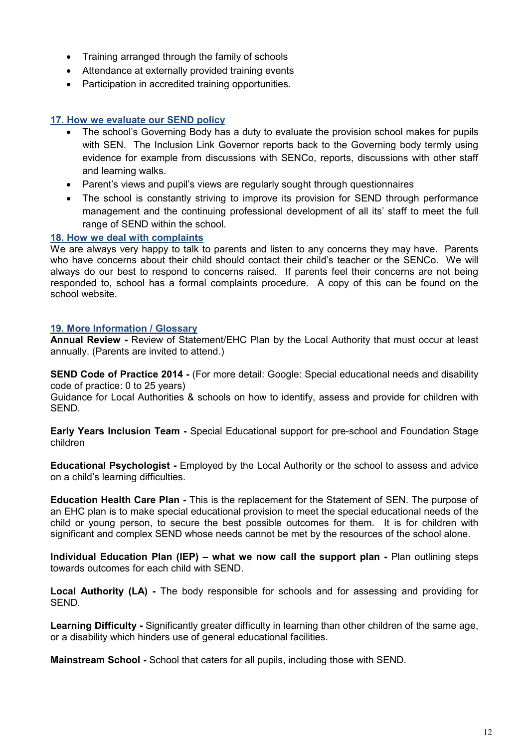- Training arranged through the family of schools
- Attendance at externally provided training events
- Participation in accredited training opportunities.

# **17. How we evaluate our SEND policy**

- The school's Governing Body has a duty to evaluate the provision school makes for pupils with SEN. The Inclusion Link Governor reports back to the Governing body termly using evidence for example from discussions with SENCo, reports, discussions with other staff and learning walks.
- Parent's views and pupil's views are regularly sought through questionnaires
- The school is constantly striving to improve its provision for SEND through performance management and the continuing professional development of all its' staff to meet the full range of SEND within the school.

# **18. How we deal with complaints**

We are always very happy to talk to parents and listen to any concerns they may have. Parents who have concerns about their child should contact their child's teacher or the SENCo. We will always do our best to respond to concerns raised. If parents feel their concerns are not being responded to, school has a formal complaints procedure. A copy of this can be found on the school website.

### **19. More Information / Glossary**

**Annual Review -** Review of Statement/EHC Plan by the Local Authority that must occur at least annually. (Parents are invited to attend.)

**SEND Code of Practice 2014 -** (For more detail: Google: Special educational needs and disability code of practice: 0 to 25 years)

Guidance for Local Authorities & schools on how to identify, assess and provide for children with SEND.

**Early Years Inclusion Team -** Special Educational support for pre-school and Foundation Stage children

**Educational Psychologist -** Employed by the Local Authority or the school to assess and advice on a child's learning difficulties.

**Education Health Care Plan -** This is the replacement for the Statement of SEN. The purpose of an EHC plan is to make special educational provision to meet the special educational needs of the child or young person, to secure the best possible outcomes for them. It is for children with significant and complex SEND whose needs cannot be met by the resources of the school alone.

**Individual Education Plan (IEP) – what we now call the support plan -** Plan outlining steps towards outcomes for each child with SEND.

**Local Authority (LA) -** The body responsible for schools and for assessing and providing for SEND.

**Learning Difficulty -** Significantly greater difficulty in learning than other children of the same age, or a disability which hinders use of general educational facilities.

**Mainstream School -** School that caters for all pupils, including those with SEND.